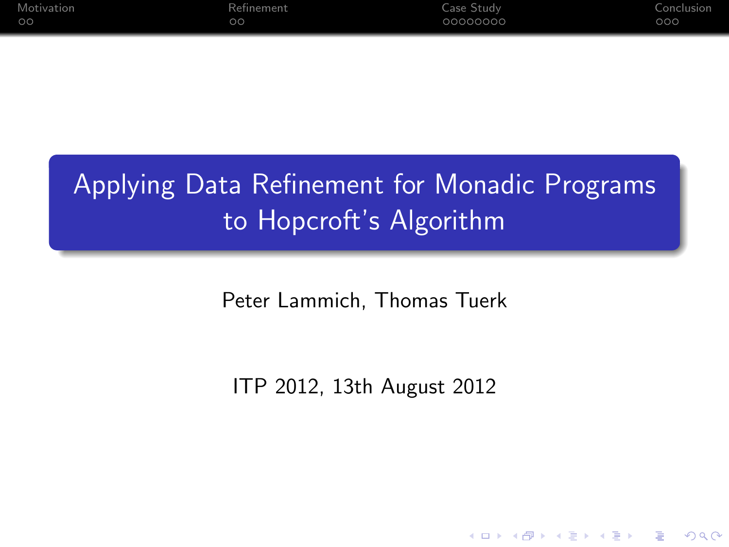| Motivation | Refinement <sup>'</sup> | Case Study | Conclusion |
|------------|-------------------------|------------|------------|
| $\circ$    | oс                      | 00000000   | 000        |

# Applying Data Refinement for Monadic Programs to Hopcroft's Algorithm

Peter Lammich, Thomas Tuerk

ITP 2012, 13th August 2012

**KORK STRAIN A BAR SHOP**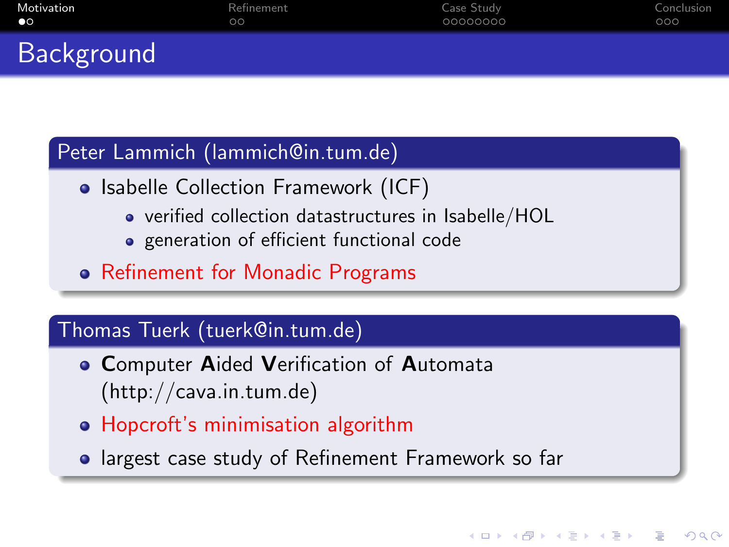| Motivation | Refinement | Case Study | Conclusion |
|------------|------------|------------|------------|
| $\bullet$  | ററ         | 00000000   | 000        |
| Background |            |            |            |

# Peter Lammich (lammich@in.tum.de)

- Isabelle Collection Framework (ICF)
	- verified collection datastructures in Isabelle/HOL
	- **•** generation of efficient functional code
- Refinement for Monadic Programs

#### Thomas Tuerk (tuerk@in.tum.de)

- **Computer Aided Verification of Automata** (http://cava.in.tum.de)
- Hopcroft's minimisation algorithm
- <span id="page-1-0"></span>**• largest case study of Refinement Framework so far**

4 0 > 4 4 + 4 3 + 4 3 + 5 + 9 4 0 +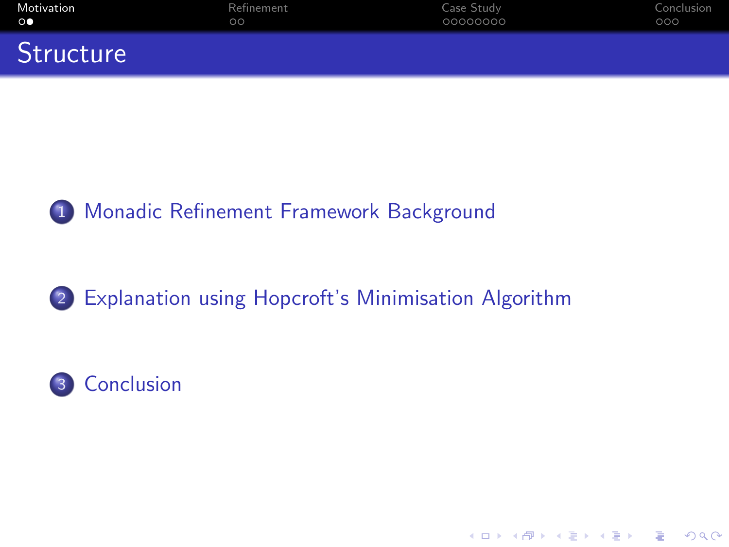| <b>Motivation</b> | Refinement | Case Study | Conclusion |
|-------------------|------------|------------|------------|
| $\circ\bullet$    | $\circ$ c  | 00000000   | 000        |
| Structure         |            |            |            |



1 [Monadic Refinement Framework Background](#page-3-0)

# 2 [Explanation using Hopcroft's Minimisation Algorithm](#page-5-0)

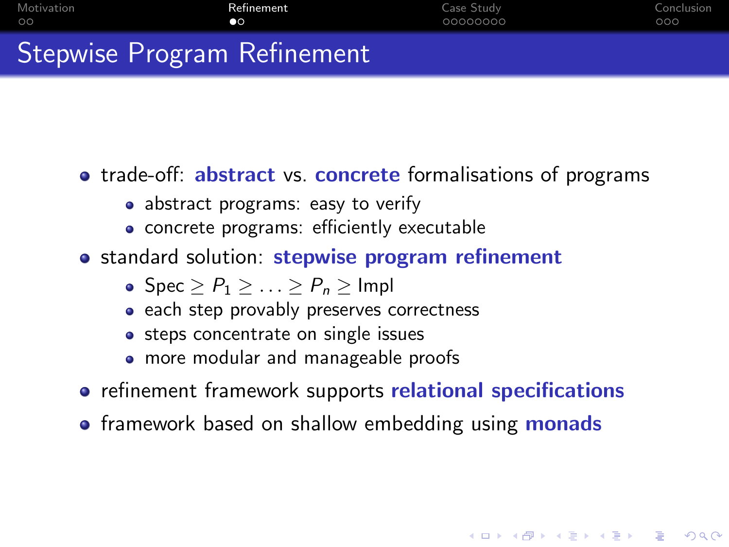| Motivation                  | Refinement | Case Study | Conclusion |
|-----------------------------|------------|------------|------------|
| ററ                          | $\bullet$  | 00000000   | 000        |
| Stepwise Program Refinement |            |            |            |

# **•** trade-off: **abstract** vs. **concrete** formalisations of programs

- abstract programs: easy to verify
- concrete programs: efficiently executable
- standard solution: stepwise program refinement
	- Spec  $\ge P_1 \ge \ldots \ge P_n \ge \text{Impl}$
	- each step provably preserves correctness
	- steps concentrate on single issues
	- more modular and manageable proofs
- **•** refinement framework supports relational specifications

**KORK ERKER ADE YOUR** 

<span id="page-3-0"></span>**•** framework based on shallow embedding using **monads**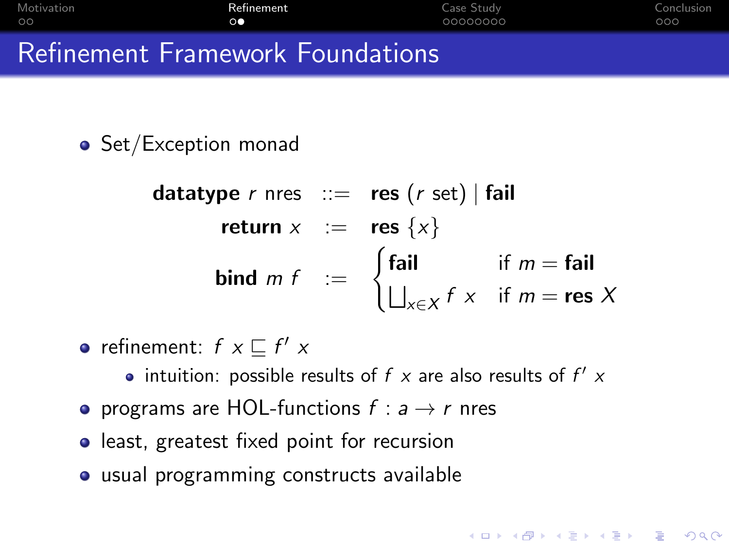| Motivation                              | Refinement      | Case Study | Conclusion |
|-----------------------------------------|-----------------|------------|------------|
| ററ                                      | $\circ$ $\circ$ | 00000000   | 000        |
| <b>Refinement Framework Foundations</b> |                 |            |            |

• Set/Exception monad

datatype 
$$
r
$$
 nres  $::=$  res  $(r \text{ set}) | \text{fail}$ 

\nreturn  $x := \text{res } \{x\}$ 

\nbind  $mf := \begin{cases} \text{fail} & \text{if } m = \text{fail} \\ \bigsqcup_{x \in X} f x & \text{if } m = \text{res } X \end{cases}$ 

**KORK ERKER ADE YOUR** 

refinement:  $f x \sqsubseteq f' x$ 

intuition: possible results of  $f \times$  are also results of  $f' \times$ 

- programs are HOL-functions  $f : a \rightarrow r$  nres
- **•** least, greatest fixed point for recursion
- usual programming constructs available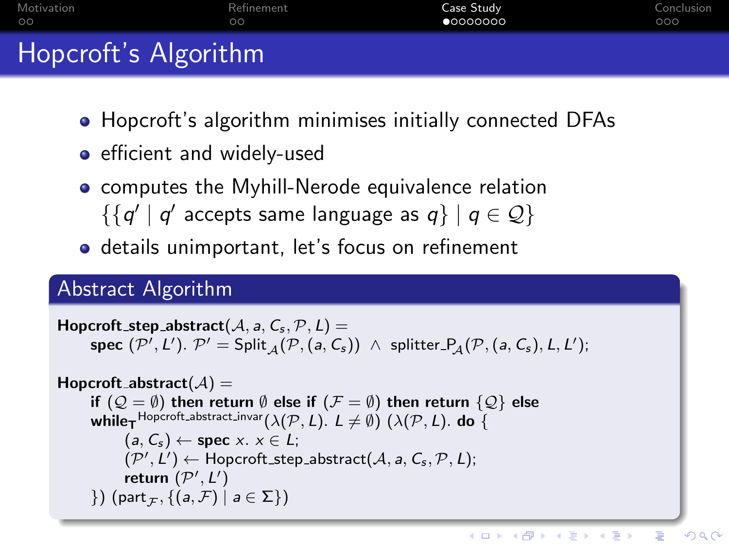| Motivation           | Refinement | Case Study | Conclusion |
|----------------------|------------|------------|------------|
| ററ                   | ററ         | •00000000  | 000        |
| Hopcroft's Algorithm |            |            |            |

- Hopcroft's algorithm minimises initially connected DFAs
- **•** efficient and widely-used
- **•** computes the Myhill-Nerode equivalence relation  $\{ \{ q' \mid q' \text{ accepts same language as } q \} \mid q \in \mathcal{Q} \}$
- **o** details unimportant, let's focus on refinement

```
Hopcroft_step_abstract(A, a, C_s, P, L) =
   \textsf{spec}~(\mathcal{P}', \mathcal{L}').~\mathcal{P}' = \textsf{Split}_{\mathcal{A}}(\mathcal{P}, (a, C_s)) ~\wedge~ \textsf{splitter\_P}_{\mathcal{A}}(\mathcal{P}, (a, C_s), \mathcal{L}, \mathcal{L}');
```

```
Hopcroft_abstract(A) =
if (Q = \emptyset) then return \emptyset else if (\mathcal{F} = \emptyset) then return \{Q\} else
 while_{\textsf{\textbf{T}}}<sup>Hopcroft_abstract_invar</sup>(\lambda(\mathcal{P},L). L\neq \emptyset) (\lambda(\mathcal{P},L). do \{(a, C_s) \leftarrow spec x, x \in L;
         (\mathcal{P}', L') \leftarrow Hopcroft_step_abstract(\mathcal{A}, a, C_s, \mathcal{P}, L);
         return (\mathcal{P}', L')\{) (part _{\mathcal{F}}, \{(a, \mathcal{F}) | a \in \Sigma\})
```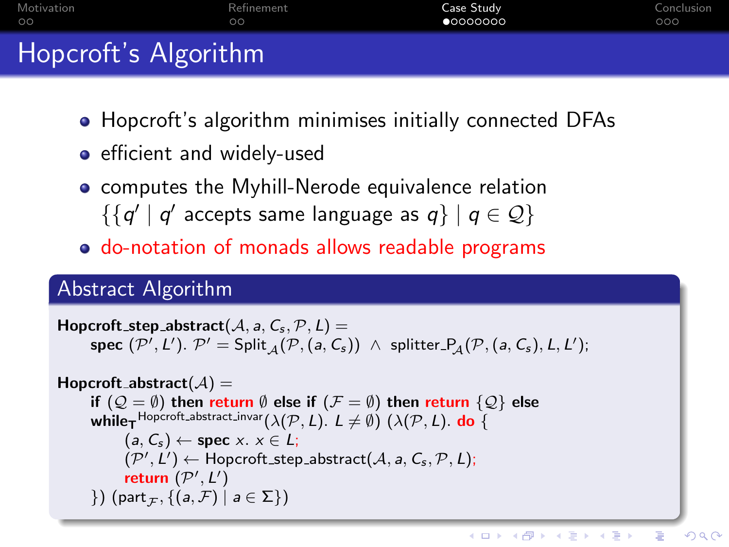| Motivation           | Refinement | Case Study | Conclusion |
|----------------------|------------|------------|------------|
| ററ                   | ററ         | •00000000  | 000        |
| Hopcroft's Algorithm |            |            |            |

- Hopcroft's algorithm minimises initially connected DFAs
- **•** efficient and widely-used
- **•** computes the Myhill-Nerode equivalence relation  $\{ \{ q' \mid q' \text{ accepts same language as } q \} \mid q \in \mathcal{Q} \}$
- do-notation of monads allows readable programs

```
Hopcroft_step_abstract(A, a, C_s, P, L) =
   \textsf{spec}~(\mathcal{P}', \mathcal{L}').~\mathcal{P}' = \textsf{Split}_{\mathcal{A}}(\mathcal{P}, (a, C_s)) ~\wedge~ \textsf{splitter\_P}_{\mathcal{A}}(\mathcal{P}, (a, C_s), \mathcal{L}, \mathcal{L}');
```
Hopcroft\_abstract( $A$ ) = if  $(Q = \emptyset)$  then return  $\emptyset$  else if  $(\mathcal{F} = \emptyset)$  then return  $\{Q\}$  else  $\textsf{while}_{\textsf{T}}$ <sup>Hopcroft\_abstract\_invar</sup> $(\lambda(\mathcal{P},L)\ldotp L\neq \emptyset)$   $(\lambda(\mathcal{P},L)\ldotp \textsf{do}$  {  $(a, C_s) \leftarrow$  spec  $x, x \in L$ ;  $(\mathcal{P}', L') \leftarrow$  Hopcroft\_step\_abstract $(\mathcal{A}, a, C_s, \mathcal{P}, L);$ return  $(\mathcal{P}', L')$  $\{$ ) (part  $_{\mathcal{F}}$ ,  $\{(a, \mathcal{F}) | a \in \Sigma\}$ )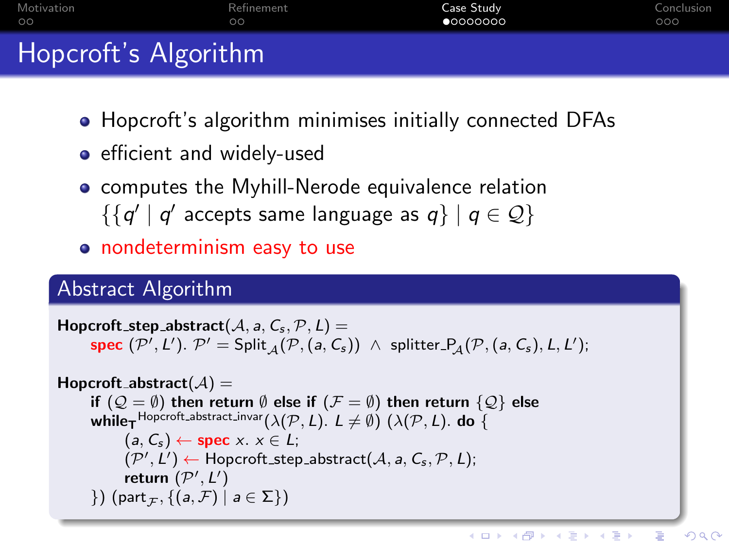| Motivation           | Refinement | Case Study | Conclusion |
|----------------------|------------|------------|------------|
| ററ                   | ററ         | •00000000  | 000        |
| Hopcroft's Algorithm |            |            |            |

- Hopcroft's algorithm minimises initially connected DFAs
- **•** efficient and widely-used
- **•** computes the Myhill-Nerode equivalence relation  $\{ \{ q' \mid q' \text{ accepts same language as } q \} \mid q \in \mathcal{Q} \}$
- **•** nondeterminism easy to use

```
Hopcroft_step_abstract(A, a, C_s, P, L) =
  spec (\mathcal{P}', L'). \mathcal{P}' = \mathsf{Split}_{\mathcal{A}}(\mathcal{P}, (a, C_s)) \ \wedge \ \mathsf{splitter}\ \mathsf{P}_{\mathcal{A}}(\mathcal{P}, (a, C_s), L, L');
```

```
Hopcroft_abstract(A) =
if (Q = \emptyset) then return \emptyset else if (\mathcal{F} = \emptyset) then return \{Q\} else
 while_{\textsf{\textbf{T}}}<sup>Hopcroft_abstract_invar</sup>(\lambda(\mathcal{P},L). L\neq \emptyset) (\lambda(\mathcal{P},L). do \{(a, C_s) \leftarrow spec x. x \in L;
         (\mathcal{P}', L') \leftarrow Hopcroft_step_abstract(\mathcal{A}, a, C_s, \mathcal{P}, L);
         return (\mathcal{P}', L')\{) (part _{\mathcal{F}}, \{(a, \mathcal{F}) | a \in \Sigma\})
```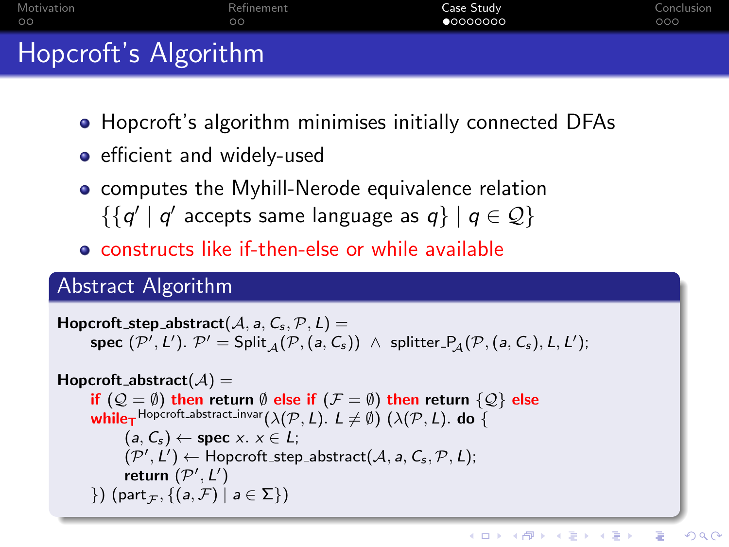| Motivation           | Refinement | Case Study | Conclusion |
|----------------------|------------|------------|------------|
| ററ                   | ററ         | •00000000  | 000        |
| Hopcroft's Algorithm |            |            |            |

- Hopcroft's algorithm minimises initially connected DFAs
- **•** efficient and widely-used
- **•** computes the Myhill-Nerode equivalence relation  $\{ \{ q' \mid q' \text{ accepts same language as } q \} \mid q \in \mathcal{Q} \}$
- constructs like if-then-else or while available

```
Hopcroft_step_abstract(A, a, C_s, P, L) =
spec (\mathcal{P}', L'). \mathcal{P}' = \mathsf{Split}_{\mathcal{A}}(\mathcal{P}, (a, C_s)) \ \wedge \ \mathsf{splitter}\_\mathcal{A}(\mathcal{P}, (a, C_s), L, L');Hopcroft_abstract(A) =
if (Q = \emptyset) then return \emptyset else if (\mathcal{F} = \emptyset) then return \{Q\} else
while<sub>T</sub> Hopcroft abstract invar (\lambda(\mathcal{P}, L). L \neq \emptyset) (\lambda(\mathcal{P}, L). do {
        (a, C_s) \leftarrow spec x. x \in L;
        (\mathcal{P}', L') \leftarrow Hopcroft_step_abstract(\mathcal{A}, a, C_s, \mathcal{P}, L);return (\mathcal{P}', L')
```

```
\{) (part _{\mathcal{F}}, \{(a, \mathcal{F}) | a \in \Sigma\})
```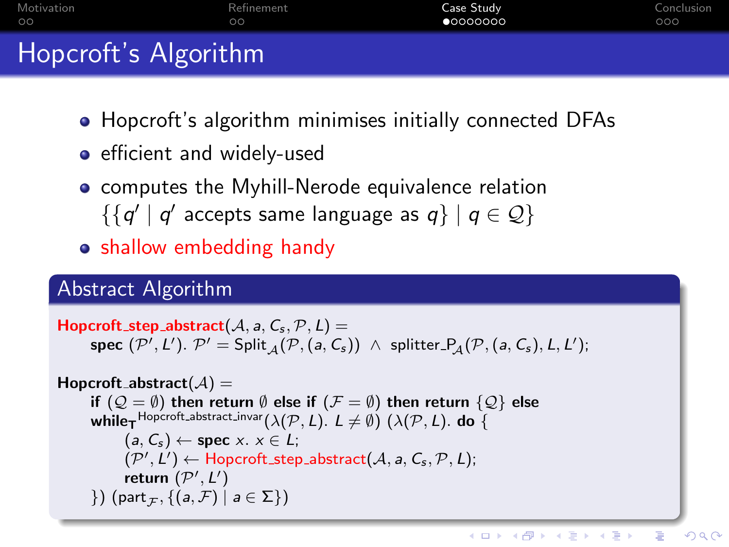| Motivation           | Refinement | Case Study | Conclusion |
|----------------------|------------|------------|------------|
| ററ                   | ററ         | •00000000  | 000        |
| Hopcroft's Algorithm |            |            |            |

- Hopcroft's algorithm minimises initially connected DFAs
- **•** efficient and widely-used
- **•** computes the Myhill-Nerode equivalence relation  $\{ \{ q' \mid q' \text{ accepts same language as } q \} \mid q \in \mathcal{Q} \}$
- **•** shallow embedding handy

```
Hopcroft_step_abstract(A, a, C_s, P, L) =
   \textsf{spec}~(\mathcal{P}', \mathcal{L}').~\mathcal{P}' = \textsf{Split}_{\mathcal{A}}(\mathcal{P}, (a, C_s)) ~\wedge~ \textsf{splitter\_P}_{\mathcal{A}}(\mathcal{P}, (a, C_s), \mathcal{L}, \mathcal{L}');
```

```
Hopcroft_abstract(A) =
if (Q = \emptyset) then return \emptyset else if (\mathcal{F} = \emptyset) then return \{Q\} else
 while_{\textsf{\textbf{T}}}<sup>Hopcroft_abstract_invar</sup>(\lambda(\mathcal{P},L). L\neq \emptyset) (\lambda(\mathcal{P},L). do \{(a, C_s) \leftarrow spec x, x \in L;
         (\mathcal{P}', L') \leftarrow Hopcroft_step_abstract(\mathcal{A}, a, C_s, \mathcal{P}, L);
         return (\mathcal{P}', L')\{) (part _{\mathcal{F}}, \{(a, \mathcal{F}) | a \in \Sigma\})
```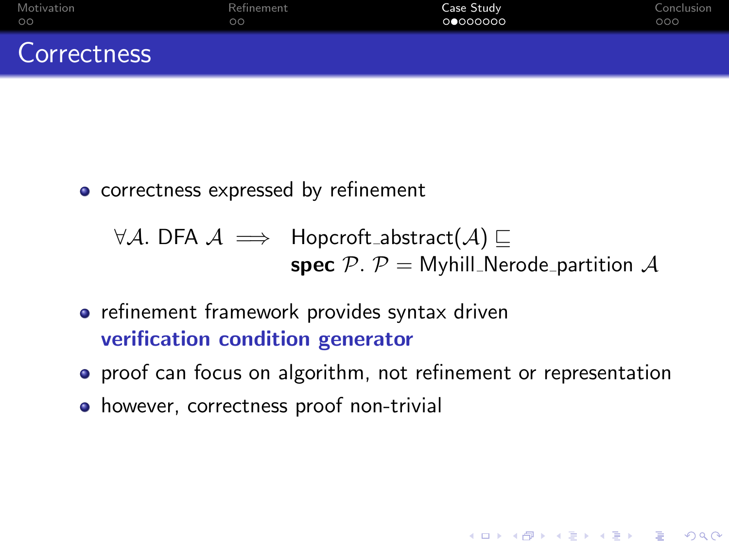| Motivation  | Refinement | Case Study | Conclusion |
|-------------|------------|------------|------------|
| $\circ$     | $\circ$    | 0 0000000  | 000        |
| Correctness |            |            |            |

• correctness expressed by refinement

 $\forall A.$  DFA  $A \implies$  Hopcroft\_abstract( $A$ )  $\Box$ spec  $P \cdot P = M$ yhill Nerode partition A

- **•** refinement framework provides syntax driven verification condition generator
- **•** proof can focus on algorithm, not refinement or representation

**KORK ERKER ADE YOUR** 

• however, correctness proof non-trivial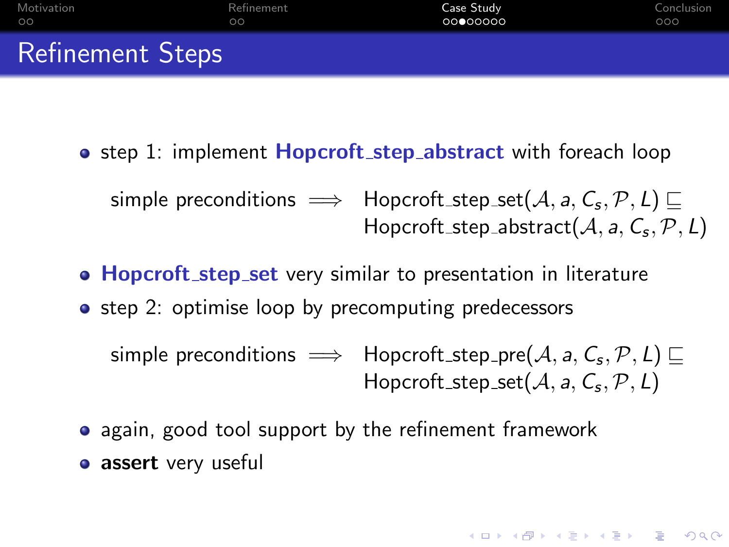| Motivation              | Refinement | Case Study | Conclusion |
|-------------------------|------------|------------|------------|
| ററ                      | ററ         | 00000000   | 000        |
| <b>Refinement Steps</b> |            |            |            |

• step 1: implement **Hopcroft** step abstract with foreach loop

simple preconditions  $\implies$  Hopcroft\_step\_set $(\mathcal{A}, a, \mathcal{C}_{\mathsf{s}}, \mathcal{P}, \mathcal{L}) \sqsubseteq$  $\mathsf{Hopcroft}\_\mathsf{step}\_\mathsf{abstract}(\mathcal{A}, \mathsf{a}, \mathsf{C}_\mathsf{s}, \mathcal{P}, \mathsf{L})$ 

- Hopcroft\_step\_set very similar to presentation in literature
- step 2: optimise loop by precomputing predecessors

 $\mathsf{simple}$  preconditions  $\implies\;$  Hopcroft\_step\_pre $(\mathcal{A}, a, \mathcal{C}_{\mathsf{s}}, \mathcal{P}, \mathcal{L}) \sqsubseteq$  $\mathsf{Hopcroft\_step\_set}(\mathcal{A}, \mathsf{a}, \mathsf{C}_{\mathsf{s}}, \mathcal{P}, \mathsf{L})$ 

**KORKAR KERKER EL VOLO** 

- again, good tool support by the refinement framework
- **assert** very useful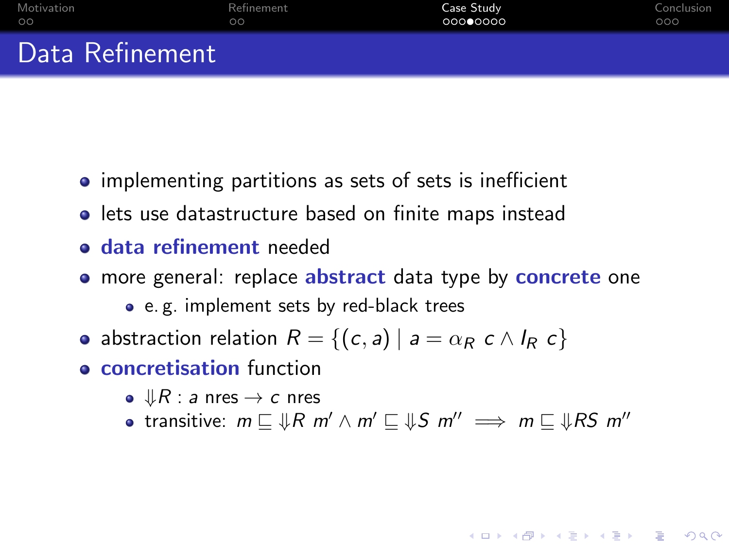| Motivation      | Refinement | Case Study | Conclusion |
|-----------------|------------|------------|------------|
| ററ              | ററ         | 000●0000   | 000        |
| Data Refinement |            |            |            |

- implementing partitions as sets of sets is inefficient
- **•** lets use datastructure based on finite maps instead
- data refinement needed
- more general: replace abstract data type by concrete one
	- e. g. implement sets by red-black trees
- abstraction relation  $R = \{(c, a) | a = \alpha_R c \wedge l_R c\}$
- **e** concretisation function
	- $\bullet \, \downarrow R$  : a nres  $\rightarrow c$  nres
	- transitive:  $m \sqsubseteq \mathbb{R}$  m'  $\wedge$  m'  $\sqsubseteq \mathbb{R}$ S m''  $\implies m \sqsubseteq \mathbb{R}$ S m''

**KORK ERKER ADE YOUR**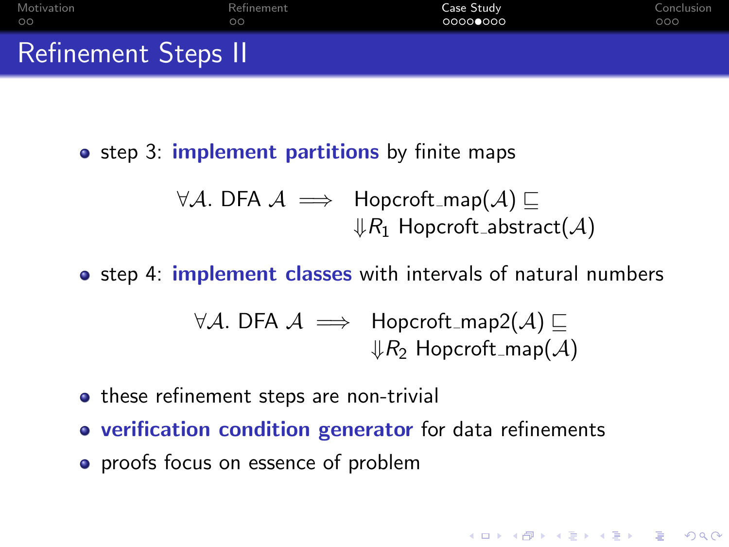| Motivation                 | Refinement | Case Study | Conclusion |
|----------------------------|------------|------------|------------|
| $\circ$                    | ററ         | 00000000   | 000        |
| <b>Refinement Steps II</b> |            |            |            |

• step 3: **implement partitions** by finite maps

$$
\forall \mathcal{A}. \; \mathsf{DFA} \; \mathcal{A} \implies \; \mathsf{Hopcroft\_map}(\mathcal{A}) \sqsubseteq \\ \Downarrow R_1 \; \mathsf{Hopcroft\_abstract}(\mathcal{A})
$$

• step 4: implement classes with intervals of natural numbers

$$
\forall \mathcal{A}.\ \mathsf{DFA} \ \mathcal{A} \implies \ \mathsf{Hopcroft\_map2}(\mathcal{A}) \sqsubseteq \newline \Downarrow \mathcal{R}_2 \ \mathsf{Hopcroft\_map}(\mathcal{A})
$$

- these refinement steps are non-trivial
- verification condition generator for data refinements
- proofs focus on essence of problem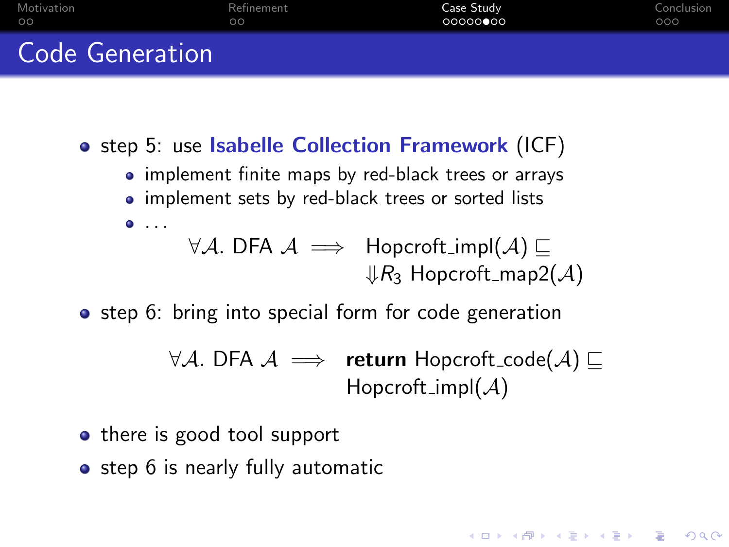| Motivation      | Refinement | Case Study | Conclusion |
|-----------------|------------|------------|------------|
| $\circ$         | ററ         | 00000000   | 000        |
| Code Generation |            |            |            |

**o** step 5: use **Isabelle Collection Framework** (ICF)

- implement finite maps by red-black trees or arrays
- implement sets by red-black trees or sorted lists
- $\bullet$  ...

 $\forall A.$  DFA  $A \implies$  Hopcroft\_impl( $A$ )  $\Box$  $\downarrow R_3$  Hopcroft\_map2(A)

• step 6: bring into special form for code generation

 $\forall A.$  DFA  $A \implies$  return Hopcroft\_code(A)  $\Box$ Hopcroft\_impl( $\mathcal{A}$ )

**KORKAR KERKER EL VOLO** 

- there is good tool support
- step 6 is nearly fully automatic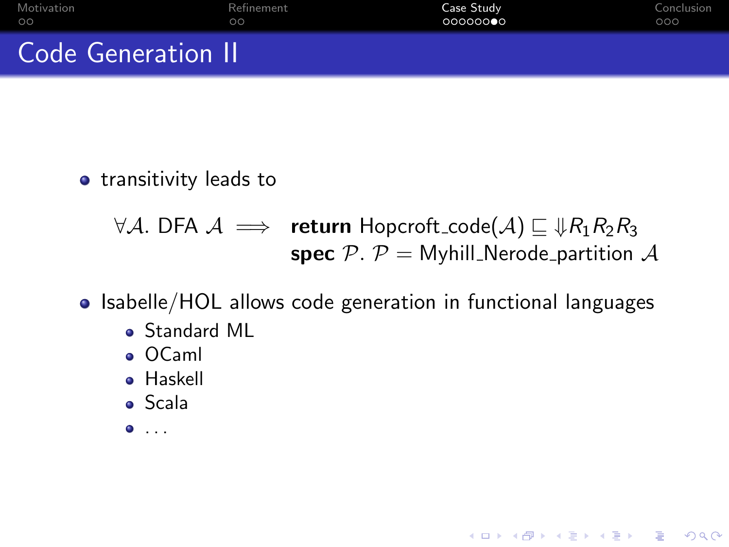| Motivation                | Refinement | Case Study | Conclusion |
|---------------------------|------------|------------|------------|
| ററ                        | ററ         | 00000000   | 000        |
| <b>Code Generation II</b> |            |            |            |

**•** transitivity leads to

 $\forall A.$  DFA  $A \implies$  return Hopcroft\_code( $A$ )  $\sqsubseteq \Downarrow R_1R_2R_3$ spec  $P \cdot P = M$ yhill Nerode partition A

**KORK ERKER ADE YOUR** 

• Isabelle/HOL allows code generation in functional languages

- **Standard MI**
- OCaml
- Haskell
- Scala
- $\bullet$  . . .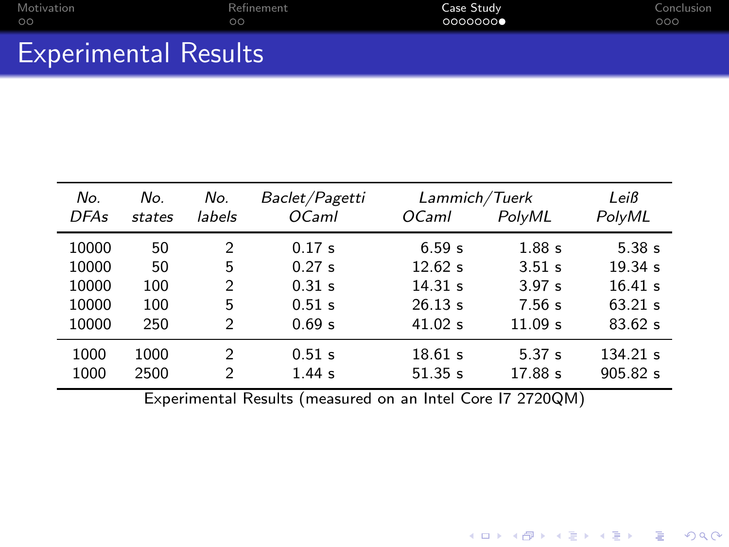| $\circ$        | Motivation |   | Refinement<br>OĞ | Case Study<br>0000000 | Conclusion<br>000 |
|----------------|------------|---|------------------|-----------------------|-------------------|
| $\overline{ }$ |            | . |                  |                       |                   |

| <b>Experimental Results</b> |  |
|-----------------------------|--|
|                             |  |

| No.         | No.    | No.            | <i>Baclet/Pagetti</i> | Lammich/Tuerk |                   | Leiß       |
|-------------|--------|----------------|-----------------------|---------------|-------------------|------------|
| <b>DFAs</b> | states | labels         | <i>OCaml</i>          | <i>OCaml</i>  | PolyML            | PolyML     |
| 10000       | 50     | 2              | 0.17 s                | 6.59 s        | 1.88 <sub>s</sub> | 5.38s      |
| 10000       | 50     | 5              | 0.27 s                | 12.62 s       | $3.51$ s          | 19.34 s    |
| 10000       | 100    | $\mathcal{P}$  | 0.31 s                | 14.31 s       | 3.97 s            | 16.41 s    |
| 10000       | 100    | 5              | 0.51 s                | 26.13 s       | 7.56 s            | $63.21$ s  |
| 10000       | 250    | $\mathcal{P}$  | 0.69 s                | 41.02 s       | 11.09 s           | 83.62 s    |
| 1000        | 1000   | $\mathcal{P}$  | 0.51 s                | 18.61 s       | 5.37s             | $134.21$ s |
| 1000        | 2500   | $\mathfrak{D}$ | 1.44 s                | 51.35 s       | 17.88 s           | 905.82 s   |

Experimental Results (measured on an Intel Core I7 2720QM)

K ロ ▶ K @ ▶ K 할 X X 할 X → 할 X → 9 Q @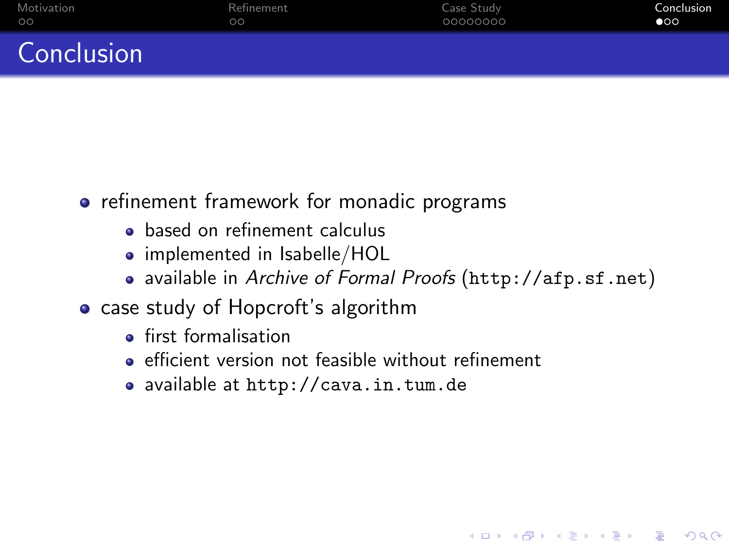| Motivation | Refinement | Case Study | Conclusion   |
|------------|------------|------------|--------------|
| $\circ$    | ററ         | 00000000   | $\bullet$ 00 |
| Conclusion |            |            |              |

- **•** refinement framework for monadic programs
	- **•** based on refinement calculus
	- implemented in Isabelle/HOL
	- available in Archive of Formal Proofs (<http://afp.sf.net>)

K ロ ▶ K @ ▶ K 할 ▶ K 할 ▶ 이 할 → 9 Q @

- <span id="page-17-0"></span>• case study of Hopcroft's algorithm
	- **o** first formalisation
	- efficient version not feasible without refinement
	- available at <http://cava.in.tum.de>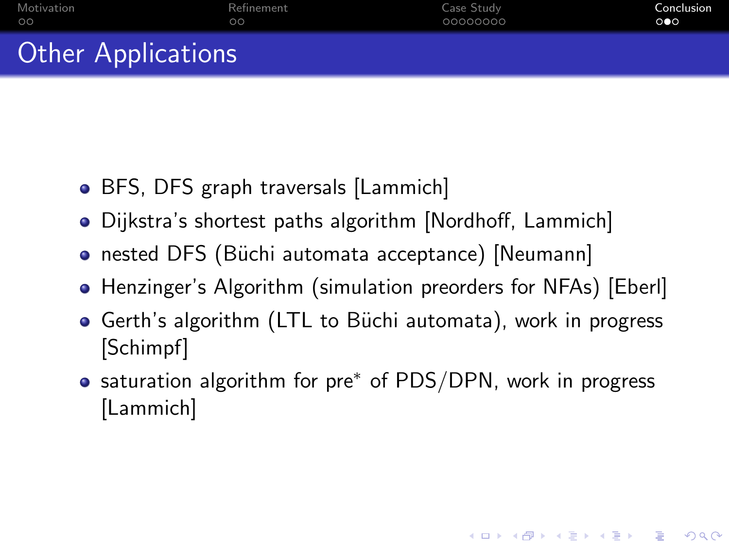| Motivation                | Refinement | Case Study | Conclusion            |
|---------------------------|------------|------------|-----------------------|
| ററ                        | ററ         | 00000000   | $\circ \bullet \circ$ |
| <b>Other Applications</b> |            |            |                       |

- BFS, DFS graph traversals [Lammich]
- Dijkstra's shortest paths algorithm [Nordhoff, Lammich]
- nested DFS (Büchi automata acceptance) [Neumann]
- Henzinger's Algorithm (simulation preorders for NFAs) [Eberl]
- Gerth's algorithm (LTL to Büchi automata), work in progress [Schimpf]
- saturation algorithm for pre<sup>\*</sup> of PDS/DPN, work in progress [Lammich]

**KORK ERKER ADE YOUR**